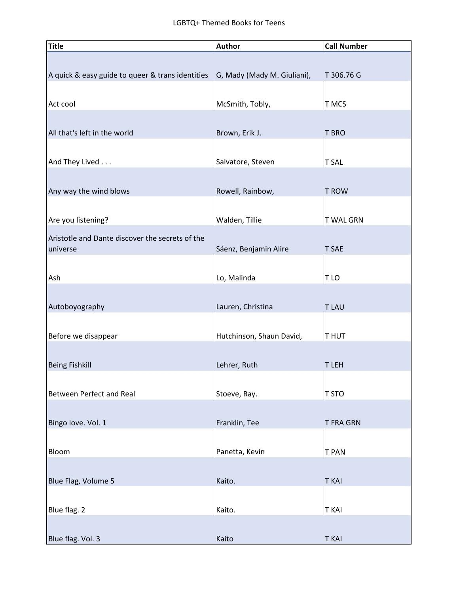| <b>Title</b>                                                                 | <b>Author</b>            | <b>Call Number</b> |
|------------------------------------------------------------------------------|--------------------------|--------------------|
|                                                                              |                          |                    |
| A quick & easy guide to queer & trans identities G, Mady (Mady M. Giuliani), |                          | T 306.76 G         |
|                                                                              |                          |                    |
| Act cool                                                                     | McSmith, Tobly,          | T MCS              |
|                                                                              |                          |                    |
| All that's left in the world                                                 | Brown, Erik J.           | T BRO              |
|                                                                              |                          |                    |
| And They Lived                                                               | Salvatore, Steven        | <b>T SAL</b>       |
|                                                                              |                          |                    |
| Any way the wind blows                                                       | Rowell, Rainbow,         | <b>T ROW</b>       |
|                                                                              |                          |                    |
| Are you listening?                                                           | Walden, Tillie           | <b>T WAL GRN</b>   |
| Aristotle and Dante discover the secrets of the                              |                          |                    |
| universe                                                                     | Sáenz, Benjamin Alire    | <b>T SAE</b>       |
|                                                                              |                          |                    |
| Ash                                                                          | Lo, Malinda              | T LO               |
|                                                                              |                          |                    |
| Autoboyography                                                               | Lauren, Christina        | <b>TLAU</b>        |
|                                                                              |                          |                    |
| Before we disappear                                                          | Hutchinson, Shaun David, | <b>THUT</b>        |
|                                                                              |                          |                    |
| <b>Being Fishkill</b>                                                        | Lehrer, Ruth             | T LEH              |
|                                                                              |                          |                    |
| Between Perfect and Real                                                     | Stoeve, Ray.             | T STO              |
|                                                                              |                          |                    |
| Bingo love. Vol. 1                                                           | Franklin, Tee            | <b>T FRA GRN</b>   |
|                                                                              |                          |                    |
| Bloom                                                                        | Panetta, Kevin           | <b>T PAN</b>       |
|                                                                              |                          |                    |
| Blue Flag, Volume 5                                                          | Kaito.                   | <b>T KAI</b>       |
|                                                                              |                          |                    |
| Blue flag. 2                                                                 | Kaito.                   | <b>T KAI</b>       |
|                                                                              |                          |                    |
| Blue flag. Vol. 3                                                            | Kaito                    | <b>T KAI</b>       |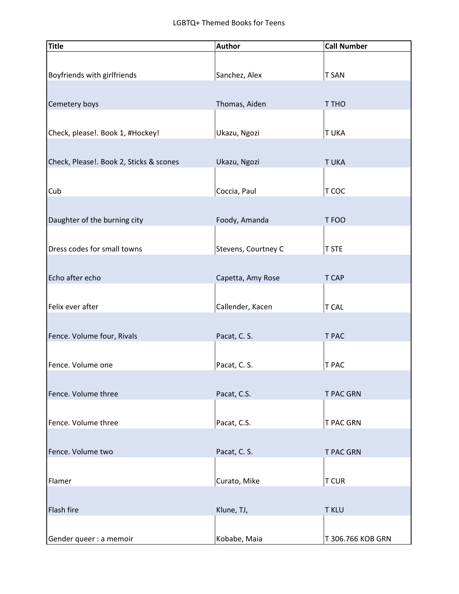| <b>Title</b>                            | Author              | <b>Call Number</b> |
|-----------------------------------------|---------------------|--------------------|
| Boyfriends with girlfriends             | Sanchez, Alex       | <b>T SAN</b>       |
| Cemetery boys                           | Thomas, Aiden       | T THO              |
| Check, please!. Book 1, #Hockey!        | Ukazu, Ngozi        | <b>TUKA</b>        |
| Check, Please!. Book 2, Sticks & scones | Ukazu, Ngozi        | <b>TUKA</b>        |
| Cub                                     | Coccia, Paul        | T COC              |
| Daughter of the burning city            | Foody, Amanda       | T FOO              |
| Dress codes for small towns             | Stevens, Courtney C | <b>T STE</b>       |
| Echo after echo                         | Capetta, Amy Rose   | T CAP              |
| Felix ever after                        | Callender, Kacen    | <b>T CAL</b>       |
| Fence. Volume four, Rivals              | Pacat, C. S.        | T PAC              |
| Fence. Volume one                       | Pacat, C. S.        | T PAC              |
| Fence. Volume three                     | Pacat, C.S.         | <b>T PAC GRN</b>   |
| Fence. Volume three                     | Pacat, C.S.         | T PAC GRN          |
| Fence. Volume two                       | Pacat, C. S.        | <b>T PAC GRN</b>   |
| Flamer                                  | Curato, Mike        | <b>T CUR</b>       |
| Flash fire                              | Klune, TJ,          | <b>T KLU</b>       |
| Gender queer : a memoir                 | Kobabe, Maia        | T 306.766 KOB GRN  |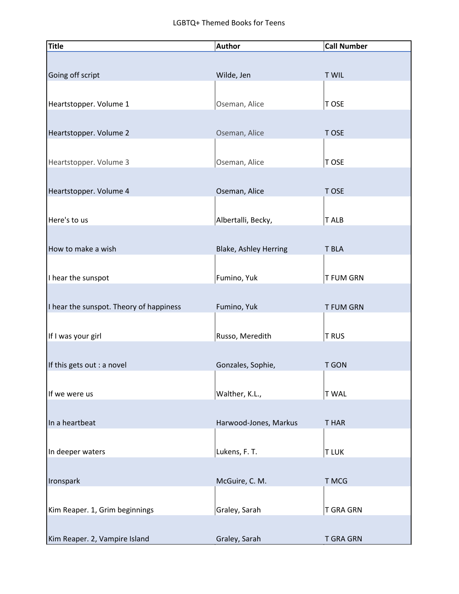| <b>Title</b>                            | <b>Author</b>                | <b>Call Number</b> |
|-----------------------------------------|------------------------------|--------------------|
|                                         |                              |                    |
| Going off script                        | Wilde, Jen                   | <b>T WIL</b>       |
|                                         |                              |                    |
|                                         |                              |                    |
| Heartstopper. Volume 1                  | Oseman, Alice                | T OSE              |
|                                         |                              |                    |
| Heartstopper. Volume 2                  | Oseman, Alice                | T OSE              |
|                                         |                              |                    |
| Heartstopper. Volume 3                  | Oseman, Alice                | T OSE              |
|                                         |                              |                    |
| Heartstopper. Volume 4                  | Oseman, Alice                | T OSE              |
|                                         |                              |                    |
| Here's to us                            | Albertalli, Becky,           | T ALB              |
|                                         |                              |                    |
| How to make a wish                      |                              | T BLA              |
|                                         | <b>Blake, Ashley Herring</b> |                    |
|                                         |                              |                    |
| I hear the sunspot                      | Fumino, Yuk                  | T FUM GRN          |
|                                         |                              |                    |
| I hear the sunspot. Theory of happiness | Fumino, Yuk                  | <b>T FUM GRN</b>   |
|                                         |                              |                    |
| If I was your girl                      | Russo, Meredith              | <b>TRUS</b>        |
|                                         |                              |                    |
| If this gets out : a novel              | Gonzales, Sophie,            | <b>T GON</b>       |
|                                         |                              |                    |
| If we were us                           | Walther, K.L.,               | <b>TWAL</b>        |
|                                         |                              |                    |
| In a heartbeat                          | Harwood-Jones, Markus        | <b>THAR</b>        |
|                                         |                              |                    |
|                                         |                              |                    |
| In deeper waters                        | Lukens, F. T.                | <b>TLUK</b>        |
|                                         |                              |                    |
| Ironspark                               | McGuire, C. M.               | T MCG              |
|                                         |                              |                    |
| Kim Reaper. 1, Grim beginnings          | Graley, Sarah                | <b>T GRA GRN</b>   |
|                                         |                              |                    |
| Kim Reaper. 2, Vampire Island           | Graley, Sarah                | <b>T GRA GRN</b>   |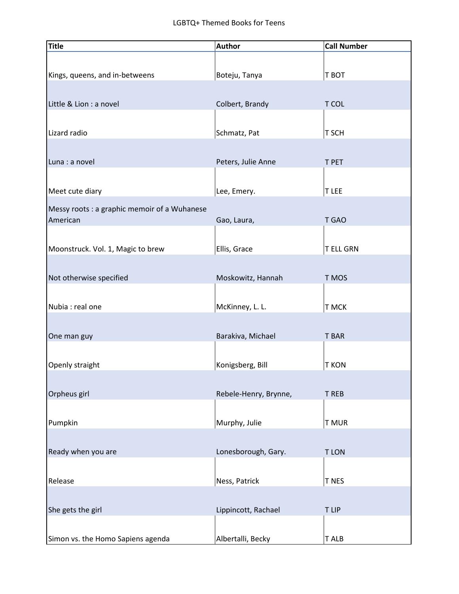| <b>Title</b>                                 | <b>Author</b>         | <b>Call Number</b> |
|----------------------------------------------|-----------------------|--------------------|
|                                              |                       |                    |
| Kings, queens, and in-betweens               | Boteju, Tanya         | T BOT              |
|                                              |                       |                    |
| Little & Lion : a novel                      | Colbert, Brandy       | T COL              |
|                                              |                       |                    |
| Lizard radio                                 | Schmatz, Pat          | T SCH              |
|                                              |                       |                    |
| Luna : a novel                               | Peters, Julie Anne    | T PET              |
|                                              |                       |                    |
| Meet cute diary                              | Lee, Emery.           | T LEE              |
| Messy roots : a graphic memoir of a Wuhanese |                       |                    |
| American                                     | Gao, Laura,           | T GAO              |
|                                              |                       |                    |
| Moonstruck. Vol. 1, Magic to brew            | Ellis, Grace          | <b>T ELL GRN</b>   |
|                                              |                       |                    |
| Not otherwise specified                      | Moskowitz, Hannah     | T MOS              |
|                                              |                       |                    |
| Nubia : real one                             | McKinney, L. L.       | T MCK              |
|                                              |                       |                    |
| One man guy                                  | Barakiva, Michael     | <b>T BAR</b>       |
|                                              |                       |                    |
| Openly straight                              | Konigsberg, Bill      | <b>T KON</b>       |
|                                              |                       |                    |
| Orpheus girl                                 | Rebele-Henry, Brynne, | <b>T REB</b>       |
|                                              |                       |                    |
| Pumpkin                                      | Murphy, Julie         | <b>T MUR</b>       |
|                                              |                       |                    |
| Ready when you are                           | Lonesborough, Gary.   | <b>TLON</b>        |
|                                              |                       |                    |
| Release                                      | Ness, Patrick         | T NES              |
|                                              |                       |                    |
| She gets the girl                            | Lippincott, Rachael   | T LIP              |
|                                              |                       |                    |
| Simon vs. the Homo Sapiens agenda            | Albertalli, Becky     | T ALB              |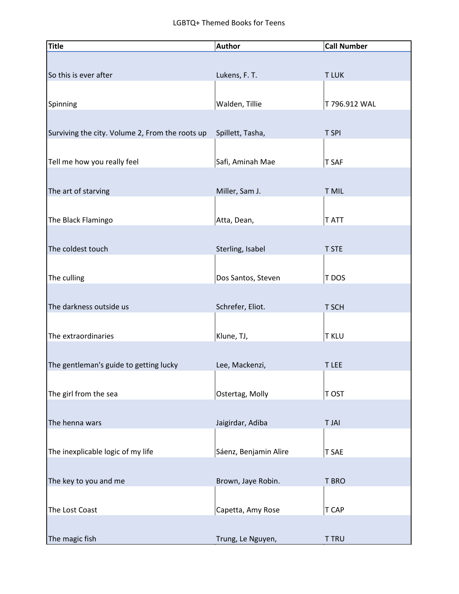| <b>Title</b>                                    | <b>Author</b>         | <b>Call Number</b> |
|-------------------------------------------------|-----------------------|--------------------|
|                                                 |                       |                    |
| So this is ever after                           | Lukens, F. T.         | <b>TLUK</b>        |
|                                                 |                       |                    |
|                                                 |                       |                    |
| Spinning                                        | Walden, Tillie        | T 796.912 WAL      |
|                                                 |                       |                    |
| Surviving the city. Volume 2, From the roots up | Spillett, Tasha,      | T SPI              |
|                                                 |                       |                    |
| Tell me how you really feel                     | Safi, Aminah Mae      | T SAF              |
|                                                 |                       |                    |
|                                                 |                       |                    |
| The art of starving                             | Miller, Sam J.        | <b>T MIL</b>       |
|                                                 |                       |                    |
| The Black Flamingo                              | Atta, Dean,           | <b>TATT</b>        |
|                                                 |                       |                    |
| The coldest touch                               | Sterling, Isabel      | <b>T STE</b>       |
|                                                 |                       |                    |
| The culling                                     | Dos Santos, Steven    | T DOS              |
|                                                 |                       |                    |
|                                                 |                       |                    |
| The darkness outside us                         | Schrefer, Eliot.      | T SCH              |
|                                                 |                       |                    |
| The extraordinaries                             | Klune, TJ,            | <b>T KLU</b>       |
|                                                 |                       |                    |
| The gentleman's guide to getting lucky          | Lee, Mackenzi,        | <b>TLEE</b>        |
|                                                 |                       |                    |
| The girl from the sea                           | Ostertag, Molly       | T OST              |
|                                                 |                       |                    |
|                                                 |                       |                    |
| The henna wars                                  | Jaigirdar, Adiba      | <b>TJAI</b>        |
|                                                 |                       |                    |
| The inexplicable logic of my life               | Sáenz, Benjamin Alire | <b>T SAE</b>       |
|                                                 |                       |                    |
| The key to you and me                           | Brown, Jaye Robin.    | <b>T BRO</b>       |
|                                                 |                       |                    |
|                                                 |                       |                    |
| The Lost Coast                                  | Capetta, Amy Rose     | T CAP              |
|                                                 |                       |                    |
| The magic fish                                  | Trung, Le Nguyen,     | <b>T TRU</b>       |